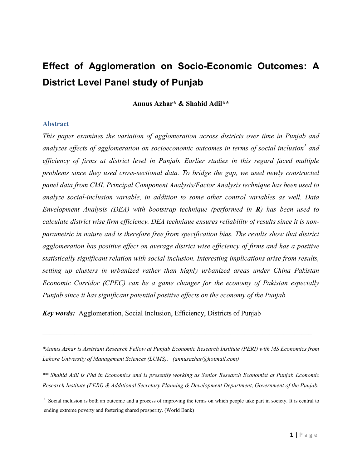# **Effect of Agglomeration on Socio-Economic Outcomes: A District Level Panel study of Punjab**

**Annus Azhar\* & Shahid Adil\*\***

#### **Abstract**

*This paper examines the variation of agglomeration across districts over time in Punjab and analyzes effects of agglomeration on socioeconomic outcomes in terms of social inclusion<sup>1</sup> and efficiency of firms at district level in Punjab. Earlier studies in this regard faced multiple problems since they used cross-sectional data. To bridge the gap, we used newly constructed panel data from CMI. Principal Component Analysis/Factor Analysis technique has been used to analyze social-inclusion variable, in addition to some other control variables as well. Data Envelopment Analysis (DEA) with bootstrap technique (performed in R) has been used to calculate district wise firm efficiency. DEA technique ensures reliability of results since it is nonparametric in nature and is therefore free from specification bias. The results show that district agglomeration has positive effect on average district wise efficiency of firms and has a positive statistically significant relation with social-inclusion. Interesting implications arise from results, setting up clusters in urbanized rather than highly urbanized areas under China Pakistan Economic Corridor (CPEC) can be a game changer for the economy of Pakistan especially Punjab since it has significant potential positive effects on the economy of the Punjab.*

*Key words:* Agglomeration, Social Inclusion, Efficiency, Districts of Punjab

*\*Annus Azhar is Assistant Research Fellow at Punjab Economic Research Institute (PERI) with MS Economics from Lahore University of Management Sciences (LUMS). (annusazhar@hotmail.com)*

\_\_\_\_\_\_\_\_\_\_\_\_\_\_\_\_\_\_\_\_\_\_\_\_\_\_\_\_\_\_\_\_\_\_\_\_\_\_\_\_\_\_\_\_\_\_\_\_\_\_\_\_\_\_\_\_\_\_\_\_\_\_\_\_\_\_\_\_\_\_\_\_\_\_\_\_

*\*\* Shahid Adil is Phd in Economics and is presently working as Senior Research Economist at Punjab Economic Research Institute (PERI) & Additional Secretary Planning & Development Department, Government of the Punjab.*

<sup>1</sup>. Social inclusion is both an outcome and a process of improving the terms on which people take part in society. It is central to ending extreme poverty and fostering shared prosperity. (World Bank)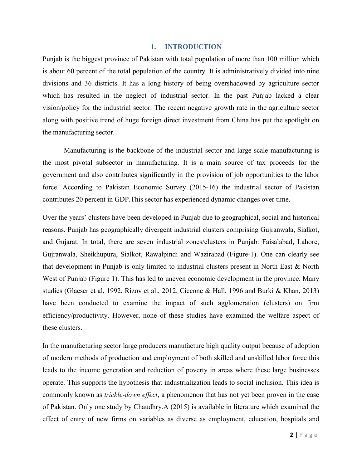#### **1. INTRODUCTION**

Punjab is the biggest province of Pakistan with total population of more than 100 million which is about 60 percent of the total population of the country. It is administratively divided into nine divisions and 36 districts. It has a long history of being overshadowed by agriculture sector which has resulted in the neglect of industrial sector. In the past Punjab lacked a clear vision/policy for the industrial sector. The recent negative growth rate in the agriculture sector along with positive trend of huge foreign direct investment from China has put the spotlight on the manufacturing sector.

Manufacturing is the backbone of the industrial sector and large scale manufacturing is the most pivotal subsector in manufacturing. It is a main source of tax proceeds for the government and also contributes significantly in the provision of job opportunities to the labor force. According to Pakistan Economic Survey (2015-16) the industrial sector of Pakistan contributes 20 percent in GDP.This sector has experienced dynamic changes over time.

Over the years' clusters have been developed in Punjab due to geographical, social and historical reasons. Punjab has geographically divergent industrial clusters comprising Gujranwala, Sialkot, and Gujarat. In total, there are seven industrial zones/clusters in Punjab: Faisalabad, Lahore, Gujranwala, Sheikhupura, Sialkot, Rawalpindi and Wazirabad (Figure-1). One can clearly see that development in Punjab is only limited to industrial clusters present in North East & North West of Punjab (Figure 1). This has led to uneven economic development in the province. Many studies (Glaeser et al, 1992, Rizov et al., 2012, Ciccone & Hall, 1996 and Burki & Khan, 2013) have been conducted to examine the impact of such agglomeration (clusters) on firm efficiency/productivity. However, none of these studies have examined the welfare aspect of these clusters.

In the manufacturing sector large producers manufacture high quality output because of adoption of modern methods of production and employment of both skilled and unskilled labor force this leads to the income generation and reduction of poverty in areas where these large businesses operate. This supports the hypothesis that industrialization leads to social inclusion. This idea is commonly known as *trickle-down effect*, a phenomenon that has not yet been proven in the case of Pakistan. Only one study by Chaudhry.A (2015) is available in literature which examined the effect of entry of new firms on variables as diverse as employment, education, hospitals and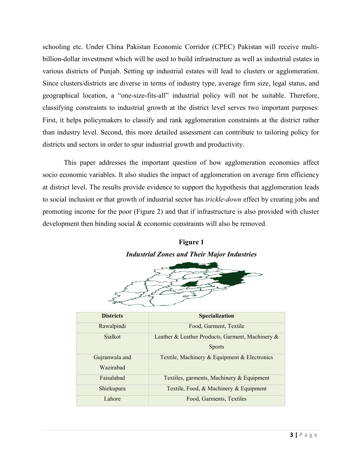schooling etc. Under China Pakistan Economic Corridor (CPEC) Pakistan will receive multibillion-dollar investment which will be used to build infrastructure as well as industrial estates in various districts of Punjab. Setting up industrial estates will lead to clusters or agglomeration. Since clusters/districts are diverse in terms of industry type, average firm size, legal status, and geographical location, a "one-size-fits-all" industrial policy will not be suitable. Therefore, classifying constraints to industrial growth at the district level serves two important purposes: First, it helps policymakers to classify and rank agglomeration constraints at the district rather than industry level. Second, this more detailed assessment can contribute to tailoring policy for districts and sectors in order to spur industrial growth and productivity.

This paper addresses the important question of how agglomeration economies affect socio economic variables. It also studies the impact of agglomeration on average firm efficiency at district level. The results provide evidence to support the hypothesis that agglomeration leads to social inclusion or that growth of industrial sector has *trickle-down* effect by creating jobs and promoting income for the poor (Figure 2) and that if infrastructure is also provided with cluster development then binding social & economic constraints will also be removed.

## **Figure 1** *Industrial Zones and Their Major Industries*



| <b>Districts</b> | <b>Specialization</b>                            |
|------------------|--------------------------------------------------|
| Rawalpindi       | Food, Garment, Textile                           |
| <b>Sialkot</b>   | Leather & Leather Products, Garment, Machinery & |
|                  | <b>Sports</b>                                    |
| Gujranwala and   | Textile, Machinery & Equipment & Electronics     |
| Wazirabad        |                                                  |
| Faisalabad       | Textiles, garments, Machinery & Equipment        |
| Shiekupura       | Textile, Food, & Machinery & Equipment           |
| Lahore           | Food, Garments, Textiles                         |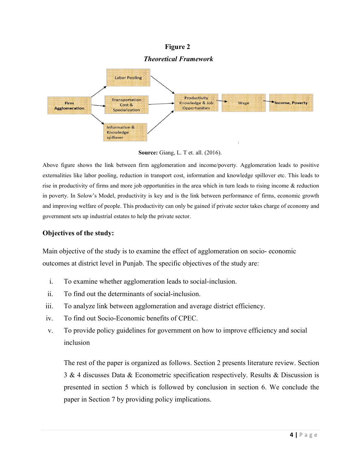### **Figure 2**

#### *Theoretical Framework*



**Source:** Giang, L. T et. all. (2016).

Above figure shows the link between firm agglomeration and income/poverty. Agglomeration leads to positive externalities like labor pooling, reduction in transport cost, information and knowledge spillover etc. This leads to rise in productivity of firms and more job opportunities in the area which in turn leads to rising income & reduction in poverty. In Solow's Model, productivity is key and is the link between performance of firms, economic growth and improving welfare of people. This productivity can only be gained if private sector takes charge of economy and government sets up industrial estates to help the private sector.

### **Objectives of the study:**

Main objective of the study is to examine the effect of agglomeration on socio- economic outcomes at district level in Punjab. The specific objectives of the study are:

- i. To examine whether agglomeration leads to social-inclusion.
- ii. To find out the determinants of social-inclusion.
- iii. To analyze link between agglomeration and average district efficiency.
- iv. To find out Socio-Economic benefits of CPEC.
- v. To provide policy guidelines for government on how to improve efficiency and social inclusion

The rest of the paper is organized as follows. Section 2 presents literature review. Section 3 & 4 discusses Data & Econometric specification respectively. Results & Discussion is presented in section 5 which is followed by conclusion in section 6. We conclude the paper in Section 7 by providing policy implications.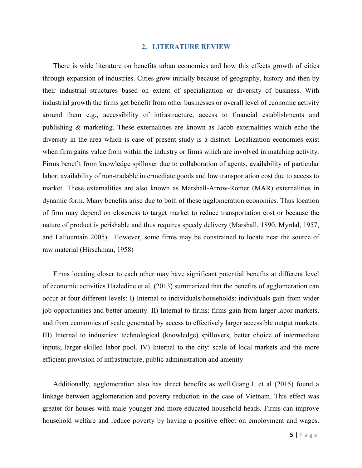#### **2. LITERATURE REVIEW**

There is wide literature on benefits urban economics and how this effects growth of cities through expansion of industries. Cities grow initially because of geography, history and then by their industrial structures based on extent of specialization or diversity of business. With industrial growth the firms get benefit from other businesses or overall level of economic activity around them e.g., accessibility of infrastructure, access to financial establishments and publishing & marketing. These externalities are known as Jacob externalities which echo the diversity in the area which is case of present study is a district. Localization economies exist when firm gains value from within the industry or firms which are involved in matching activity. Firms benefit from knowledge spillover due to collaboration of agents, availability of particular labor, availability of non-tradable intermediate goods and low transportation cost due to access to market. These externalities are also known as Marshall-Arrow-Romer (MAR) externalities in dynamic form. Many benefits arise due to both of these agglomeration economies. Thus location of firm may depend on closeness to target market to reduce transportation cost or because the nature of product is perishable and thus requires speedy delivery (Marshall, 1890, Myrdal, 1957, and LaFountain 2005). However, some firms may be constrained to locate near the source of raw material (Hirschman, 1958)

Firms locating closer to each other may have significant potential benefits at different level of economic activities.Hazledine et al, (2013) summarized that the benefits of agglomeration can occur at four different levels: I) Internal to individuals/households: individuals gain from wider job opportunities and better amenity. II) Internal to firms: firms gain from larger labor markets, and from economies of scale generated by access to effectively larger accessible output markets. III) Internal to industries: technological (knowledge) spillovers; better choice of intermediate inputs; larger skilled labor pool. IV) Internal to the city: scale of local markets and the more efficient provision of infrastructure, public administration and amenity

Additionally, agglomeration also has direct benefits as well.Giang.L et al (2015) found a linkage between agglomeration and poverty reduction in the case of Vietnam. This effect was greater for houses with male younger and more educated household heads. Firms can improve household welfare and reduce poverty by having a positive effect on employment and wages.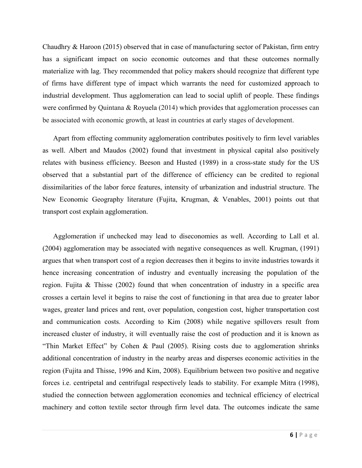Chaudhry & Haroon (2015) observed that in case of manufacturing sector of Pakistan, firm entry has a significant impact on socio economic outcomes and that these outcomes normally materialize with lag. They recommended that policy makers should recognize that different type of firms have different type of impact which warrants the need for customized approach to industrial development. Thus agglomeration can lead to social uplift of people. These findings were confirmed by Quintana & Royuela (2014) which provides that agglomeration processes can be associated with economic growth, at least in countries at early stages of development.

Apart from effecting community agglomeration contributes positively to firm level variables as well. Albert and Maudos (2002) found that investment in physical capital also positively relates with business efficiency. Beeson and Husted (1989) in a cross-state study for the US observed that a substantial part of the difference of efficiency can be credited to regional dissimilarities of the labor force features, intensity of urbanization and industrial structure. The New Economic Geography literature (Fujita, Krugman, & Venables, 2001) points out that transport cost explain agglomeration.

Agglomeration if unchecked may lead to diseconomies as well. According to Lall et al. (2004) agglomeration may be associated with negative consequences as well. Krugman, (1991) argues that when transport cost of a region decreases then it begins to invite industries towards it hence increasing concentration of industry and eventually increasing the population of the region. Fujita & Thisse (2002) found that when concentration of industry in a specific area crosses a certain level it begins to raise the cost of functioning in that area due to greater labor wages, greater land prices and rent, over population, congestion cost, higher transportation cost and communication costs. According to Kim (2008) while negative spillovers result from increased cluster of industry, it will eventually raise the cost of production and it is known as "Thin Market Effect" by Cohen & Paul (2005). Rising costs due to agglomeration shrinks additional concentration of industry in the nearby areas and disperses economic activities in the region (Fujita and Thisse, 1996 and Kim, 2008). Equilibrium between two positive and negative forces i.e. centripetal and centrifugal respectively leads to stability. For example Mitra (1998), studied the connection between agglomeration economies and technical efficiency of electrical machinery and cotton textile sector through firm level data. The outcomes indicate the same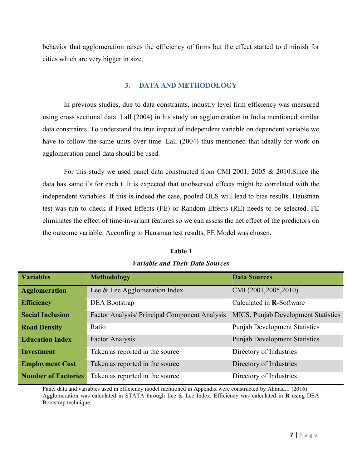behavior that agglomeration raises the efficiency of firms but the effect started to diminish for cities which are very bigger in size.

### **3. DATA AND METHODOLOGY**

In previous studies, due to data constraints, industry level firm efficiency was measured using cross sectional data. Lall (2004) in his study on agglomeration in India mentioned similar data constraints. To understand the true impact of independent variable on dependent variable we have to follow the same units over time. Lall (2004) thus mentioned that ideally for work on agglomeration panel data should be used.

For this study we used panel data constructed from CMI 2001, 2005 & 2010.Since the data has same i's for each t .It is expected that unobserved effects might be correlated with the independent variables. If this is indeed the case, pooled OLS will lead to bias results. Hausman test was run to check if Fixed Effects (FE) or Random Effects (RE) needs to be selected. FE eliminates the effect of time-invariant features so we can assess the net effect of the predictors on the outcome variable. According to Hausman test results, FE Model was chosen.

| <b>Variables</b>           | <b>Methodology</b>                            | <b>Data Sources</b>                        |
|----------------------------|-----------------------------------------------|--------------------------------------------|
| <b>Agglomeration</b>       | Lee & Lee Agglomeration Index                 | CMI (2001,2005,2010)                       |
| <b>Efficiency</b>          | <b>DEA Bootstrap</b>                          | Calculated in <b>R</b> -Software           |
| <b>Social Inclusion</b>    | Factor Analysis/ Principal Component Analysis | <b>MICS, Punjab Development Statistics</b> |
| <b>Road Density</b>        | Ratio                                         | <b>Punjab Development Statistics</b>       |
| <b>Education Index</b>     | <b>Factor Analysis</b>                        | <b>Punjab Development Statistics</b>       |
| <b>Investment</b>          | Taken as reported in the source               | Directory of Industries                    |
| <b>Employment Cost</b>     | Taken as reported in the source               | Directory of Industries                    |
| <b>Number of Factories</b> | Taken as reported in the source               | Directory of Industries                    |

**Table 1**  *Variable and Their Data Sources*

Panel data and variables used in efficiency model mentioned in Appendix were constructed by Ahmad.T (2016). Agglomeration was calculated in STATA through Lee & Lee Index. Efficiency was calculated in **R** using DEA Bootstrap technique.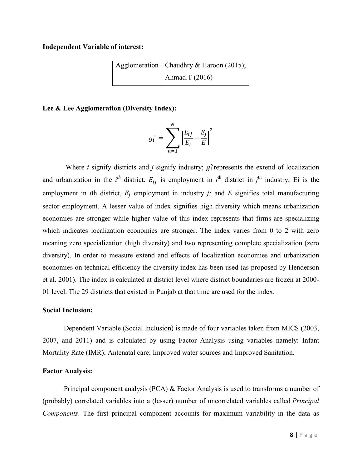#### **Independent Variable of interest:**

| Agglomeration   Chaudhry & Haroon (2015); |
|-------------------------------------------|
| Ahmad.T $(2016)$                          |

#### **Lee & Lee Agglomeration (Diversity Index):**

$$
g_i^s = \sum_{n=1}^N \left[\frac{E_{ij}}{E_i} - \frac{E_j}{E}\right]^2
$$

Where *i* signify districts and *j* signify industry;  $g_i^s$  represents the extend of localization and urbanization in the  $i<sup>th</sup>$  district.  $E_{ij}$  is employment in  $i<sup>th</sup>$  district in  $j<sup>th</sup>$  industry; Ei is the employment in *i*th district,  $E_i$  employment in industry *j*; and *E* signifies total manufacturing sector employment. A lesser value of index signifies high diversity which means urbanization economies are stronger while higher value of this index represents that firms are specializing which indicates localization economies are stronger. The index varies from 0 to 2 with zero meaning zero specialization (high diversity) and two representing complete specialization (zero diversity). In order to measure extend and effects of localization economies and urbanization economies on technical efficiency the diversity index has been used (as proposed by Henderson et al. 2001). The index is calculated at district level where district boundaries are frozen at 2000- 01 level. The 29 districts that existed in Punjab at that time are used for the index.

#### **Social Inclusion:**

Dependent Variable (Social Inclusion) is made of four variables taken from MICS (2003, 2007, and 2011) and is calculated by using Factor Analysis using variables namely: Infant Mortality Rate (IMR); Antenatal care; Improved water sources and Improved Sanitation.

#### **Factor Analysis:**

Principal component analysis (PCA)  $\&$  Factor Analysis is used to transforms a number of (probably) correlated variables into a (lesser) number of uncorrelated variables called *Principal Components*. The first principal component accounts for maximum variability in the data as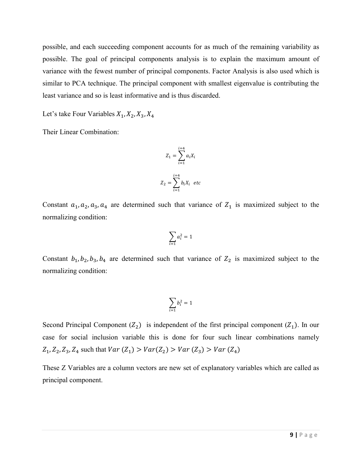possible, and each succeeding component accounts for as much of the remaining variability as possible. The goal of principal components analysis is to explain the maximum amount of variance with the fewest number of principal components. Factor Analysis is also used which is similar to PCA technique. The principal component with smallest eigenvalue is contributing the least variance and so is least informative and is thus discarded.

Let's take Four Variables  $X_1, X_2, X_3, X_4$ 

Their Linear Combination:

$$
Z_1 = \sum_{i=1}^{i=4} a_i X_i
$$

$$
Z_2 = \sum_{i=1}^{i=4} b_i X_i \text{ etc.}
$$

Constant  $a_1, a_2, a_3, a_4$  are determined such that variance of  $Z_1$  is maximized subject to the normalizing condition:

$$
\sum_{i=1} a_i^2 = 1
$$

Constant  $b_1$ ,  $b_2$ ,  $b_3$ ,  $b_4$  are determined such that variance of  $Z_2$  is maximized subject to the normalizing condition:

$$
\sum_{i=1}b_i^2=1
$$

Second Principal Component  $(Z_2)$  is independent of the first principal component  $(Z_1)$ . In our case for social inclusion variable this is done for four such linear combinations namely  $Z_1, Z_2, Z_3, Z_4$  such that  $Var(Z_1) > Var(Z_2) > Var(Z_3) > Var(Z_4)$ 

These Z Variables are a column vectors are new set of explanatory variables which are called as principal component.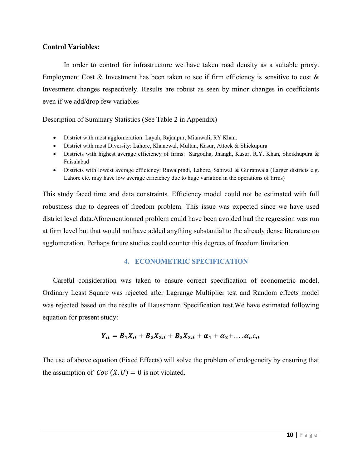#### **Control Variables:**

In order to control for infrastructure we have taken road density as a suitable proxy. Employment Cost  $\&$  Investment has been taken to see if firm efficiency is sensitive to cost  $\&$ Investment changes respectively. Results are robust as seen by minor changes in coefficients even if we add/drop few variables

Description of Summary Statistics (See Table 2 in Appendix)

- District with most agglomeration: Layah, Rajanpur, Mianwali, RY Khan.
- District with most Diversity: Lahore, Khanewal, Multan, Kasur, Attock & Shiekupura
- Districts with highest average efficiency of firms: Sargodha, Jhangh, Kasur, R.Y. Khan, Sheikhupura & Faisalabad
- Districts with lowest average efficiency: Rawalpindi, Lahore, Sahiwal & Gujranwala (Larger districts e.g. Lahore etc. may have low average efficiency due to huge variation in the operations of firms)

This study faced time and data constraints. Efficiency model could not be estimated with full robustness due to degrees of freedom problem. This issue was expected since we have used district level data.Aforementionned problem could have been avoided had the regression was run at firm level but that would not have added anything substantial to the already dense literature on agglomeration. Perhaps future studies could counter this degrees of freedom limitation

### **4. ECONOMETRIC SPECIFICATION**

Careful consideration was taken to ensure correct specification of econometric model. Ordinary Least Square was rejected after Lagrange Multiplier test and Random effects model was rejected based on the results of Haussmann Specification test.We have estimated following equation for present study:

$$
Y_{it} = B_1 X_{it} + B_2 X_{2it} + B_3 X_{3it} + \alpha_1 + \alpha_2 + \dots + \alpha_n \varepsilon_{it}
$$

The use of above equation (Fixed Effects) will solve the problem of endogeneity by ensuring that the assumption of  $Cov(X, U) = 0$  is not violated.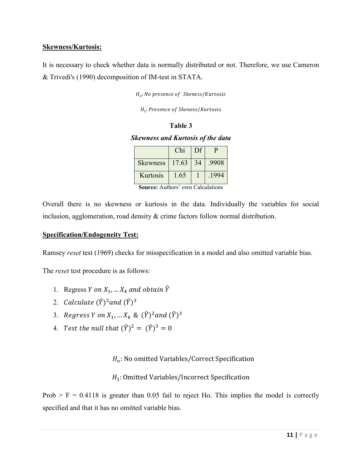### **Skewness/Kurtosis:**

It is necessary to check whether data is normally distributed or not. Therefore, we use Cameron & Trivedi's (1990) decomposition of IM-test in STATA.

 $H_o: No$  presence of Skeness/Kurtosis

 $H_1$ : Presence of Skeness/Kurtosis

#### **Table 3**

*Skewness and Kurtosis of the data*

|                 | Chi   | Df | р     |
|-----------------|-------|----|-------|
| <b>Skewness</b> | 17.63 | 34 | .9908 |
| Kurtosis        | 1.65  |    | .1994 |

**Source:** Authors' own Calculations

Overall there is no skewness or kurtosis in the data. Individually the variables for social inclusion, agglomeration, road density & crime factors follow normal distribution.

#### **Specification/Endogeneity Test:**

Ramsey *reset* test (1969) checks for misspecification in a model and also omitted variable bias.

The *reset* test procedure is as follows:

- 1. Regress Y on  $X_1, \ldots X_k$  and obtain  $\hat{Y}$
- 2. *Calculate*  $(\hat{Y})^2$ *and*  $(\hat{Y})^3$
- 3. Regress Y on  $X_1, \dots X_k$  &  $(\hat{Y})^2$  and  $(\hat{Y})^3$
- 4. Test the null that  $(\hat{Y})^2 = (\hat{Y})^3 = 0$

### $H<sub>o</sub>$ : No omitted Variables/Correct Specification

### H<sub>1</sub>: Omitted Variables/Incorrect Specification

Prob  $>$  F = 0.4118 is greater than 0.05 fail to reject Ho. This implies the model is correctly specified and that it has no omitted variable bias.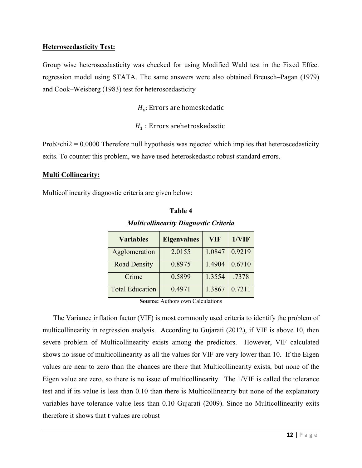### **Heteroscedasticity Test:**

Group wise heteroscedasticity was checked for using Modified Wald test in the Fixed Effect regression model using STATA. The same answers were also obtained Breusch–Pagan (1979) and Cook–Weisberg (1983) test for heteroscedasticity

 $H<sub>o</sub>$ : Errors are homeskedatic

 $H_1$ : Errors arehetroskedastic

Prob $\ge$ chi2 = 0.0000 Therefore null hypothesis was rejected which implies that heteroscedasticity exits. To counter this problem, we have used heteroskedastic robust standard errors.

### **Multi Collinearity:**

Multicollinearity diagnostic criteria are given below:

| <b>Variables</b>       | <b>Eigenvalues</b> | <b>VIF</b> | 1/VIF  |
|------------------------|--------------------|------------|--------|
| Agglomeration          | 2.0155             | 1.0847     | 0.9219 |
| <b>Road Density</b>    | 0.8975             | 1.4904     | 0.6710 |
| Crime                  | 0.5899             | 1.3554     | .7378  |
| <b>Total Education</b> | 0.4971             | 1.3867     | 0.7211 |

## **Table 4**

*Multicollinearity Diagnostic Criteria*

**Source:** Authors own Calculations

The Variance inflation factor (VIF) is most commonly used criteria to identify the problem of multicollinearity in regression analysis. According to Gujarati (2012), if VIF is above 10, then severe problem of Multicollinearity exists among the predictors. However, VIF calculated shows no issue of multicollinearity as all the values for VIF are very lower than 10. If the Eigen values are near to zero than the chances are there that Multicollinearity exists, but none of the Eigen value are zero, so there is no issue of multicollinearity. The 1/VIF is called the tolerance test and if its value is less than 0.10 than there is Multicollinearity but none of the explanatory variables have tolerance value less than 0.10 Gujarati (2009). Since no Multicollinearity exits therefore it shows that **t** values are robust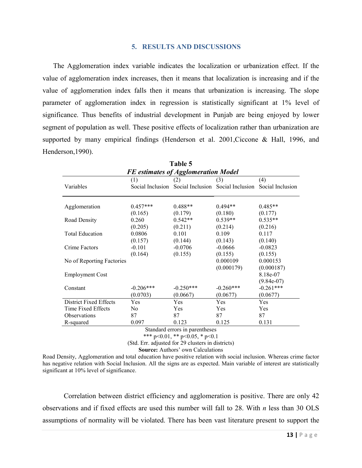#### **5. RESULTS AND DISCUSSIONS**

The Agglomeration index variable indicates the localization or urbanization effect. If the value of agglomeration index increases, then it means that localization is increasing and if the value of agglomeration index falls then it means that urbanization is increasing. The slope parameter of agglomeration index in regression is statistically significant at 1% level of significance. Thus benefits of industrial development in Punjab are being enjoyed by lower segment of population as well. These positive effects of localization rather than urbanization are supported by many empirical findings (Henderson et al. 2001,Ciccone & Hall, 1996, and Henderson,1990).

| Table 5                   |                                            |                          |                                                    |              |
|---------------------------|--------------------------------------------|--------------------------|----------------------------------------------------|--------------|
|                           | <b>FE</b> estimates of Agglomeration Model |                          |                                                    |              |
|                           | (1)                                        | (2)                      | (3)                                                | (4)          |
| Variables                 | Social Inclusion                           |                          | Social Inclusion Social Inclusion Social Inclusion |              |
| Agglomeration             | $0.457***$                                 | $0.488**$                | $0.494**$                                          | $0.485**$    |
|                           | (0.165)                                    | (0.179)                  | (0.180)                                            | (0.177)      |
| Road Density              | 0.260                                      | $0.542**$                | $0.539**$                                          | $0.535**$    |
|                           | (0.205)                                    | (0.211)                  | (0.214)                                            | (0.216)      |
| <b>Total Education</b>    | 0.0806                                     | 0.101                    | 0.109                                              | 0.117        |
|                           | (0.157)                                    | (0.144)                  | (0.143)                                            | (0.140)      |
| Crime Factors             | $-0.101$                                   | $-0.0706$                | $-0.0666$                                          | $-0.0823$    |
|                           | (0.164)                                    | (0.155)                  | (0.155)                                            | (0.155)      |
| No of Reporting Factories |                                            |                          | 0.000109                                           | 0.000153     |
|                           |                                            |                          | (0.000179)                                         | (0.000187)   |
| <b>Employment Cost</b>    |                                            |                          |                                                    | 8.18e-07     |
|                           |                                            |                          |                                                    | $(9.84e-07)$ |
| Constant                  | $-0.206***$                                | $-0.250***$              | $-0.260***$                                        | $-0.261***$  |
|                           | (0.0703)                                   | (0.0667)                 | (0.0677)                                           | (0.0677)     |
| District Fixed Effects    | Yes                                        | Yes                      | Yes                                                | Yes          |
| Time Fixed Effects        | No.                                        | Yes                      | Yes                                                | Yes          |
| <b>Observations</b>       | 87                                         | 87                       | 87                                                 | 87           |
| R-squared                 | 0.097                                      | 0.123                    | 0.125                                              | 0.131        |
|                           | Class dand amazon in                       | المحمد والموزومين والمنا |                                                    |              |

Standard errors in parentheses \*\*\* p<0.01, \*\* p<0.05, \* p<0.1

(Std. Err. adjusted for 29 clusters in districts)

**Source:** Authors' own Calculations

Road Density, Agglomeration and total education have positive relation with social inclusion. Whereas crime factor has negative relation with Social Inclusion. All the signs are as expected. Main variable of interest are statistically significant at 10% level of significance.

Correlation between district efficiency and agglomeration is positive. There are only 42 observations and if fixed effects are used this number will fall to 28. With *n* less than 30 OLS assumptions of normality will be violated. There has been vast literature present to support the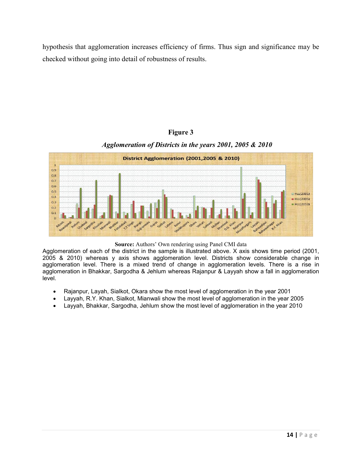hypothesis that agglomeration increases efficiency of firms. Thus sign and significance may be checked without going into detail of robustness of results.

#### **Figure 3**

### *Agglomeration of Districts in the years 2001, 2005 & 2010*



**Source:** Authors' Own rendering using Panel CMI data

Agglomeration of each of the district in the sample is illustrated above. X axis shows time period (2001, 2005 & 2010) whereas y axis shows agglomeration level. Districts show considerable change in agglomeration level. There is a mixed trend of change in agglomeration levels. There is a rise in agglomeration in Bhakkar, Sargodha & Jehlum whereas Rajanpur & Layyah show a fall in agglomeration level.

- Rajanpur, Layah, Sialkot, Okara show the most level of agglomeration in the year 2001
- Layyah, R.Y. Khan, Sialkot, Mianwali show the most level of agglomeration in the year 2005
- Layyah, Bhakkar, Sargodha, Jehlum show the most level of agglomeration in the year 2010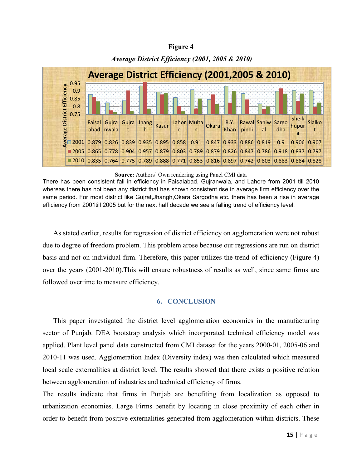#### **Figure 4**



### *Average District Efficiency (2001, 2005 & 2010)*

**Source:** Authors' Own rendering using Panel CMI data

There has been consistent fall in efficiency in Faisalabad, Gujranwala, and Lahore from 2001 till 2010 whereas there has not been any district that has shown consistent rise in average firm efficiency over the same period. For most district like Gujrat,Jhangh,Okara Sargodha etc. there has been a rise in average efficiency from 2001till 2005 but for the next half decade we see a falling trend of efficiency level.

As stated earlier, results for regression of district efficiency on agglomeration were not robust due to degree of freedom problem. This problem arose because our regressions are run on district basis and not on individual firm. Therefore, this paper utilizes the trend of efficiency (Figure 4) over the years (2001-2010).This will ensure robustness of results as well, since same firms are followed overtime to measure efficiency.

### **6. CONCLUSION**

This paper investigated the district level agglomeration economies in the manufacturing sector of Punjab. DEA bootstrap analysis which incorporated technical efficiency model was applied. Plant level panel data constructed from CMI dataset for the years 2000-01, 2005-06 and 2010-11 was used. Agglomeration Index (Diversity index) was then calculated which measured local scale externalities at district level. The results showed that there exists a positive relation between agglomeration of industries and technical efficiency of firms.

The results indicate that firms in Punjab are benefiting from localization as opposed to urbanization economies. Large Firms benefit by locating in close proximity of each other in order to benefit from positive externalities generated from agglomeration within districts. These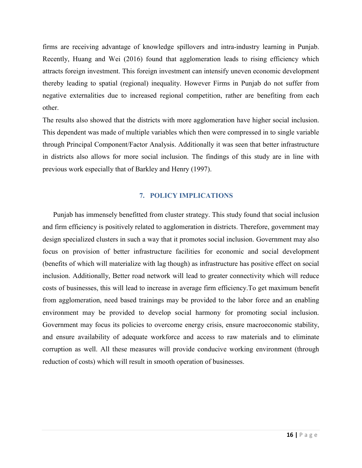firms are receiving advantage of knowledge spillovers and intra-industry learning in Punjab. Recently, Huang and Wei (2016) found that agglomeration leads to rising efficiency which attracts foreign investment. This foreign investment can intensify uneven economic development thereby leading to spatial (regional) inequality. However Firms in Punjab do not suffer from negative externalities due to increased regional competition, rather are benefiting from each other.

The results also showed that the districts with more agglomeration have higher social inclusion. This dependent was made of multiple variables which then were compressed in to single variable through Principal Component/Factor Analysis. Additionally it was seen that better infrastructure in districts also allows for more social inclusion. The findings of this study are in line with previous work especially that of Barkley and Henry (1997).

### **7. POLICY IMPLICATIONS**

Punjab has immensely benefitted from cluster strategy. This study found that social inclusion and firm efficiency is positively related to agglomeration in districts. Therefore, government may design specialized clusters in such a way that it promotes social inclusion. Government may also focus on provision of better infrastructure facilities for economic and social development (benefits of which will materialize with lag though) as infrastructure has positive effect on social inclusion. Additionally, Better road network will lead to greater connectivity which will reduce costs of businesses, this will lead to increase in average firm efficiency.To get maximum benefit from agglomeration, need based trainings may be provided to the labor force and an enabling environment may be provided to develop social harmony for promoting social inclusion. Government may focus its policies to overcome energy crisis, ensure macroeconomic stability, and ensure availability of adequate workforce and access to raw materials and to eliminate corruption as well. All these measures will provide conducive working environment (through reduction of costs) which will result in smooth operation of businesses.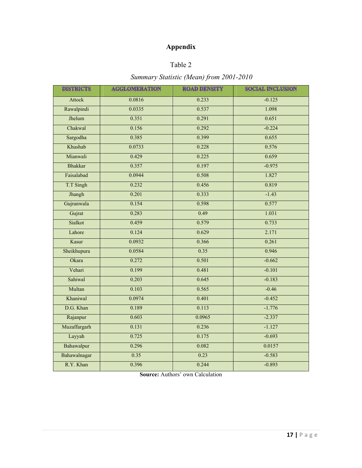## **Appendix**

### Table 2

## *Summary Statistic (Mean) from 2001-2010*

| <b>DISTRICTS</b> | <b>AGGLOMERATION</b> | <b>ROAD DENSITY</b> | <b>SOCIAL INCLUSION</b> |
|------------------|----------------------|---------------------|-------------------------|
| <b>Attock</b>    | 0.0816               | 0.233               | $-0.125$                |
| Rawalpindi       | 0.0335               | 0.537               | 1.098                   |
| Jhelum           | 0.351                | 0.291               | 0.651                   |
| Chakwal          | 0.156                | 0.292               | $-0.224$                |
| Sargodha         | 0.385                | 0.399               | 0.655                   |
| Khushab          | 0.0733               | 0.228               | 0.576                   |
| Mianwali         | 0.429                | 0.225               | 0.659                   |
| <b>Bhakkar</b>   | 0.357                | 0.197               | $-0.975$                |
| Faisalabad       | 0.0944               | 0.508               | 1.827                   |
| T.T Singh        | 0.232                | 0.456               | 0.819                   |
| Jhangh           | 0.201                | 0.333               | $-1.43$                 |
| Gujranwala       | 0.154                | 0.598               | 0.577                   |
| Gujrat           | 0.283                | 0.49                | 1.031                   |
| Sialkot          | 0.459                | 0.579               | 0.733                   |
| Lahore           | 0.124                | 0.629               | 2.171                   |
| Kasur            | 0.0932               | 0.366               | 0.261                   |
| Sheikhupura      | 0.0584               | 0.35                | 0.946                   |
| Okara            | 0.272                | 0.501               | $-0.662$                |
| Vehari           | 0.199                | 0.481               | $-0.101$                |
| Sahiwal          | 0.203                | 0.645               | $-0.183$                |
| Multan           | 0.103                | 0.565               | $-0.46$                 |
| Khaniwal         | 0.0974               | 0.401               | $-0.452$                |
| D.G. Khan        | 0.189                | 0.113               | $-1.776$                |
| Rajanpur         | 0.603                | 0.0965              | $-2.337$                |
| Muzaffargarh     | 0.131                | 0.236               | $-1.127$                |
| Layyah           | 0.725                | 0.175               | $-0.693$                |
| Bahawalpur       | 0.296                | 0.082               | 0.0157                  |
| Bahawalnagar     | 0.35                 | 0.23                | $-0.583$                |
| R.Y. Khan        | 0.396                | 0.244               | $-0.893$                |

**Source:** Authors' own Calculation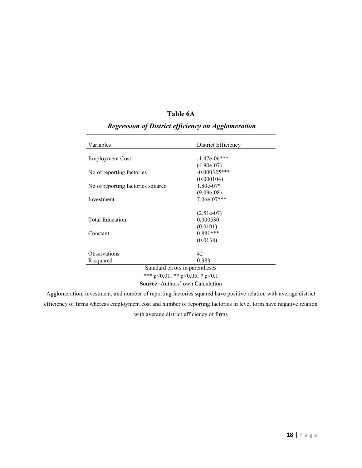### **Table 6A**

| Variables                              | District Efficiency |  |
|----------------------------------------|---------------------|--|
| <b>Employment Cost</b>                 | $-1.47e-06***$      |  |
|                                        | $(4.90e-07)$        |  |
| No of reporting factories              | $-0.000325***$      |  |
|                                        | (0.000104)          |  |
| No of reporting factories squared      | $1.80e-07*$         |  |
|                                        | $(9.09e-08)$        |  |
| Investment                             | $7.06e-07***$       |  |
|                                        | $(2.51e-07)$        |  |
| <b>Total Education</b>                 | 0.000530            |  |
|                                        | (0.0101)            |  |
| Constant                               | $0.881***$          |  |
|                                        | (0.0138)            |  |
| 42<br><b>Observations</b>              |                     |  |
| 0.383<br>R-squared                     |                     |  |
| Standard errors in parentheses         |                     |  |
| *** $p<0.01$ , ** $p<0.05$ , * $p<0.1$ |                     |  |
| Source: Authors' own Calculation       |                     |  |

## *Regression of District efficiency on Agglomeration*

Agglomeration, investment, and number of reporting factories squared have positive relation with average district efficiency of firms whereas employment cost and number of reporting factories in level form have negative relation with average district efficiency of firms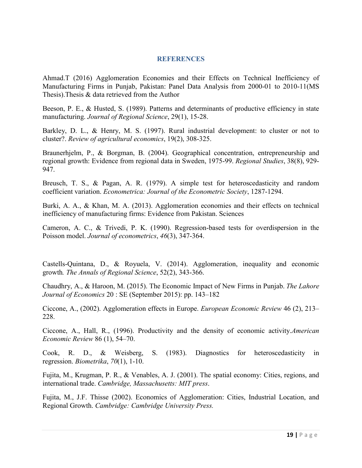#### **REFERENCES**

Ahmad.T (2016) Agglomeration Economies and their Effects on Technical Inefficiency of Manufacturing Firms in Punjab, Pakistan: Panel Data Analysis from 2000-01 to 2010-11(MS Thesis).Thesis & data retrieved from the Author

Beeson, P. E., & Husted, S. (1989). Patterns and determinants of productive efficiency in state manufacturing. *Journal of Regional Science*, 29(1), 15-28.

Barkley, D. L., & Henry, M. S. (1997). Rural industrial development: to cluster or not to cluster?. *Review of agricultural economics*, 19(2), 308-325.

Braunerhjelm, P., & Borgman, B. (2004). Geographical concentration, entrepreneurship and regional growth: Evidence from regional data in Sweden, 1975-99. *Regional Studies*, 38(8), 929- 947.

Breusch, T. S., & Pagan, A. R. (1979). A simple test for heteroscedasticity and random coefficient variation. *Econometrica: Journal of the Econometric Society*, 1287-1294.

Burki, A. A., & Khan, M. A. (2013). Agglomeration economies and their effects on technical inefficiency of manufacturing firms: Evidence from Pakistan. Sciences

Cameron, A. C., & Trivedi, P. K. (1990). Regression-based tests for overdispersion in the Poisson model. *Journal of econometrics*, *46*(3), 347-364.

Castells-Quintana, D., & Royuela, V. (2014). Agglomeration, inequality and economic growth*. The Annals of Regional Science*, 52(2), 343-366.

Chaudhry, A., & Haroon, M. (2015). The Economic Impact of New Firms in Punjab. *The Lahore Journal of Economics* 20 : SE (September 2015): pp. 143–182

Ciccone, A., (2002). Agglomeration effects in Europe. *European Economic Review* 46 (2), 213– 228.

Ciccone, A., Hall, R., (1996). Productivity and the density of economic activity.*American Economic Review* 86 (1), 54–70.

Cook, R. D., & Weisberg, S. (1983). Diagnostics for heteroscedasticity in regression. *Biometrika*, *70*(1), 1-10.

Fujita, M., Krugman, P. R., & Venables, A. J. (2001). The spatial economy: Cities, regions, and international trade. *Cambridge, Massachusetts: MIT press*.

Fujita, M., J.F. Thisse (2002). Economics of Agglomeration: Cities, Industrial Location, and Regional Growth. *Cambridge: Cambridge University Press.*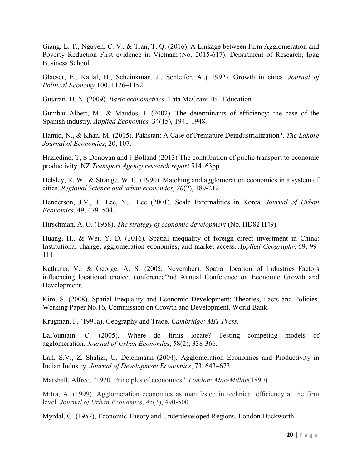Giang, L. T., Nguyen, C. V., & Tran, T. Q. (2016). A Linkage between Firm Agglomeration and Poverty Reduction First evidence in Vietnam (No. 2015-617). Department of Research, Ipag Business School.

Glaeser, E., Kallal, H., Scheinkman, J., Schleifer, A.,( 1992). Growth in cities*. Journal of Political Economy* 100, 1126–1152.

Gujarati, D. N. (2009). *Basic econometrics*. Tata McGraw-Hill Education.

Gumbau-Albert, M., & Maudos, J. (2002). The determinants of efficiency: the case of the Spanish industry. *Applied Economics,* 34(15), 1941-1948.

Hamid, N., & Khan, M. (2015). Pakistan: A Case of Premature Deindustrialization?. *The Lahore Journal of Economics*, 20, 107.

Hazledine, T, S Donovan and J Bolland (2013) The contribution of public transport to economic productivity. NZ *Transport Agency research report* 514. 63pp

Helsley, R. W., & Strange, W. C. (1990). Matching and agglomeration economies in a system of cities. *Regional Science and urban economics*, *20*(2), 189-212.

Henderson, J.V., T. Lee, Y.J. Lee (2001). Scale Externalities in Korea*, Journal of Urban Economics*, 49, 479–504.

Hirschman, A. O. (1958). *The strategy of economic development* (No. HD82 H49).

Huang, H., & Wei, Y. D. (2016). Spatial inequality of foreign direct investment in China: Institutional change, agglomeration economies, and market access. *Applied Geography*, 69, 99- 111

Kathuria, V., & George, A. S. (2005, November). Spatial location of Industries–Factors influencing locational choice. conference'2nd Annual Conference on Economic Growth and Development.

Kim, S. (2008). Spatial Inequality and Economic Development: Theories, Facts and Policies. Working Paper No.16, Commission on Growth and Development, World Bank.

Krugman, P. (1991a). Geography and Trade. *Cambridge: MIT Press.* 

LaFountain, C. (2005). Where do firms locate? Testing competing models of agglomeration. *Journal of Urban Economics*, 58(2), 338-366.

Lall, S.V., Z. Shalizi, U. Deichmann (2004). Agglomeration Economies and Productivity in Indian Industry, *Journal of Development Economics*, 73, 643–673.

Marshall, Alfred. "1920. Principles of economics." *London: Mac-Millan*(1890).

Mitra, A. (1999). Agglomeration economies as manifested in technical efficiency at the firm level. *Journal of Urban Economics*, *45*(3), 490-500.

Myrdal, G. (1957), Economic Theory and Underdeveloped Regions. London,Duckworth.